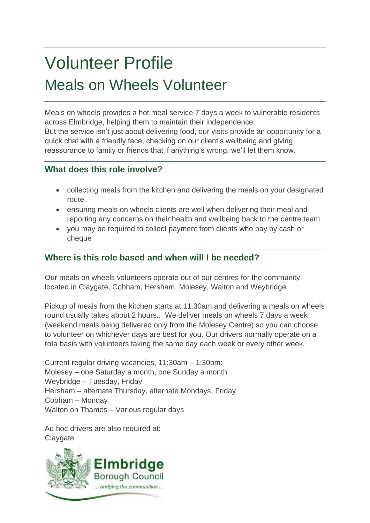# Volunteer Profile Meals on Wheels Volunteer

Meals on wheels provides a hot meal service 7 days a week to vulnerable residents across Elmbridge, helping them to maintain their independence.

But the service isn't just about delivering food, our visits provide an opportunity for a quick chat with a friendly face, checking on our client's wellbeing and giving reassurance to family or friends that if anything's wrong, we'll let them know.

# **What does this role involve?**

- collecting meals from the kitchen and delivering the meals on your designated route
- ensuring meals on wheels clients are well when delivering their meal and reporting any concerns on their health and wellbeing back to the centre team
- you may be required to collect payment from clients who pay by cash or cheque

## **Where is this role based and when will I be needed?**

Our meals on wheels volunteers operate out of our centres for the community located in Claygate, Cobham, Hersham, Molesey, Walton and Weybridge.

Pickup of meals from the kitchen starts at 11.30am and delivering a meals on wheels round usually takes about 2 hours.. We deliver meals on wheels 7 days a week (weekend meals being delivered only from the Molesey Centre) so you can choose to volunteer on whichever days are best for you. Our drivers normally operate on a rota basis with volunteers taking the same day each week or every other week.

Current regular driving vacancies, 11:30am – 1:30pm: Molesey – one Saturday a month, one Sunday a month Weybridge – Tuesday, Friday Hersham – alternate Thursday, alternate Mondays, Friday Cobham – Monday Walton on Thames – Various regular days

Ad hoc drivers are also required at: **Claygate** 

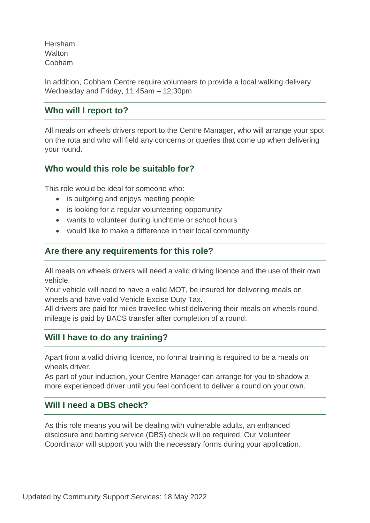Hersham **Walton** Cobham

In addition, Cobham Centre require volunteers to provide a local walking delivery Wednesday and Friday, 11:45am – 12:30pm

### **Who will I report to?**

All meals on wheels drivers report to the Centre Manager, who will arrange your spot on the rota and who will field any concerns or queries that come up when delivering your round.

#### **Who would this role be suitable for?**

This role would be ideal for someone who:

- is outgoing and enjoys meeting people
- is looking for a regular volunteering opportunity
- wants to volunteer during lunchtime or school hours
- would like to make a difference in their local community

#### **Are there any requirements for this role?**

All meals on wheels drivers will need a valid driving licence and the use of their own vehicle.

Your vehicle will need to have a valid MOT, be insured for delivering meals on wheels and have valid Vehicle Excise Duty Tax.

All drivers are paid for miles travelled whilst delivering their meals on wheels round, mileage is paid by BACS transfer after completion of a round.

## **Will I have to do any training?**

Apart from a valid driving licence, no formal training is required to be a meals on wheels driver.

As part of your induction, your Centre Manager can arrange for you to shadow a more experienced driver until you feel confident to deliver a round on your own.

## **Will I need a DBS check?**

As this role means you will be dealing with vulnerable adults, an enhanced disclosure and barring service (DBS) check will be required. Our Volunteer Coordinator will support you with the necessary forms during your application.